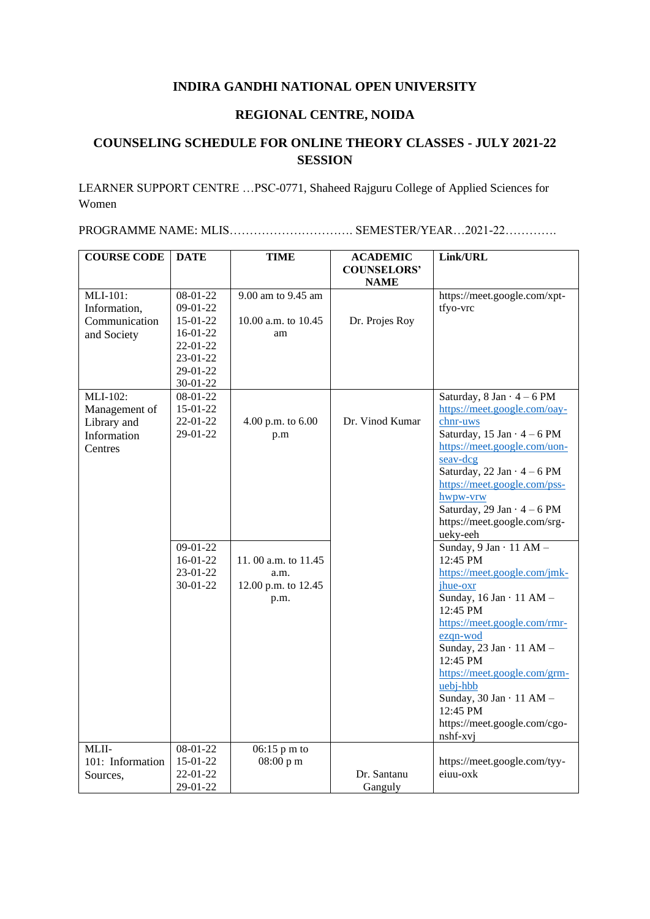## **INDIRA GANDHI NATIONAL OPEN UNIVERSITY**

## **REGIONAL CENTRE, NOIDA**

## **COUNSELING SCHEDULE FOR ONLINE THEORY CLASSES - JULY 2021-22 SESSION**

LEARNER SUPPORT CENTRE …PSC-0771, Shaheed Rajguru College of Applied Sciences for Women

PROGRAMME NAME: MLIS…………………………. SEMESTER/YEAR…2021-22………….

| <b>COURSE CODE</b> | <b>DATE</b> | <b>TIME</b>           | <b>ACADEMIC</b>    | Link/URL                           |
|--------------------|-------------|-----------------------|--------------------|------------------------------------|
|                    |             |                       | <b>COUNSELORS'</b> |                                    |
|                    |             |                       | <b>NAME</b>        |                                    |
| MLI-101:           | 08-01-22    | 9.00 am to 9.45 am    |                    | https://meet.google.com/xpt-       |
| Information,       | 09-01-22    |                       |                    | tfyo-vrc                           |
| Communication      | 15-01-22    | 10.00 a.m. to 10.45   | Dr. Projes Roy     |                                    |
| and Society        | 16-01-22    | am                    |                    |                                    |
|                    | 22-01-22    |                       |                    |                                    |
|                    | 23-01-22    |                       |                    |                                    |
|                    | 29-01-22    |                       |                    |                                    |
|                    | 30-01-22    |                       |                    |                                    |
| MLI-102:           | 08-01-22    |                       |                    | Saturday, $8 Jan \cdot 4 - 6 PM$   |
| Management of      | 15-01-22    |                       |                    | https://meet.google.com/oay-       |
| Library and        | 22-01-22    | 4.00 p.m. to 6.00     | Dr. Vinod Kumar    | chnr-uws                           |
| Information        | 29-01-22    | p.m                   |                    | Saturday, 15 Jan $\cdot$ 4 – 6 PM  |
| Centres            |             |                       |                    | https://meet.google.com/uon-       |
|                    |             |                       |                    | seav-dcg                           |
|                    |             |                       |                    | Saturday, 22 Jan $\cdot$ 4 - 6 PM  |
|                    |             |                       |                    | https://meet.google.com/pss-       |
|                    |             |                       |                    | hwpw-vrw                           |
|                    |             |                       |                    | Saturday, 29 Jan $\cdot$ 4 – 6 PM  |
|                    |             |                       |                    | https://meet.google.com/srg-       |
|                    |             |                       |                    | ueky-eeh                           |
|                    | 09-01-22    |                       |                    | Sunday, $9$ Jan $\cdot$ 11 AM -    |
|                    | $16-01-22$  | 11.00 a.m. to $11.45$ |                    | 12:45 PM                           |
|                    | 23-01-22    | a.m.                  |                    | https://meet.google.com/jmk-       |
|                    | $30-01-22$  | 12.00 p.m. to 12.45   |                    | jhue-oxr                           |
|                    |             | p.m.                  |                    | Sunday, $16 Jan \cdot 11 AM -$     |
|                    |             |                       |                    | 12:45 PM                           |
|                    |             |                       |                    | https://meet.google.com/rmr-       |
|                    |             |                       |                    | ezqn-wod                           |
|                    |             |                       |                    | Sunday, $23$ Jan $\cdot$ 11 AM $-$ |
|                    |             |                       |                    | 12:45 PM                           |
|                    |             |                       |                    | https://meet.google.com/grm-       |
|                    |             |                       |                    | uebj-hbb                           |
|                    |             |                       |                    | Sunday, $30$ Jan $\cdot$ 11 AM $-$ |
|                    |             |                       |                    | 12:45 PM                           |
|                    |             |                       |                    | https://meet.google.com/cgo-       |
|                    |             |                       |                    | nshf-xvj                           |
| MLII-              | 08-01-22    | 06:15 p m to          |                    |                                    |
| 101: Information   | 15-01-22    | 08:00 p m             |                    | https://meet.google.com/tyy-       |
| Sources,           | 22-01-22    |                       | Dr. Santanu        | eiuu-oxk                           |
|                    | 29-01-22    |                       | Ganguly            |                                    |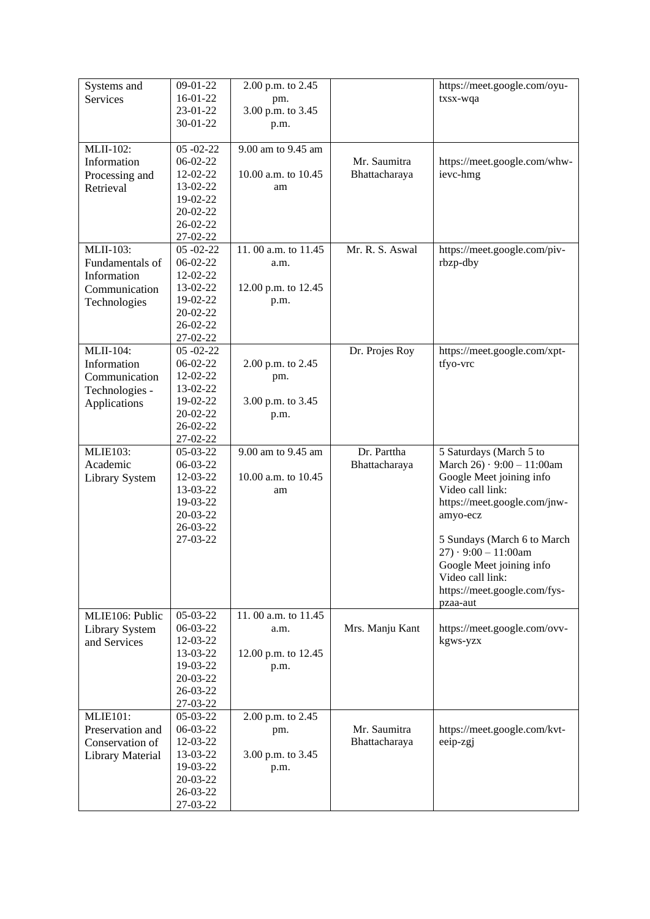| Systems and<br>Services               | $09-01-22$<br>$16-01-22$ | 2.00 p.m. to 2.45<br>pm. |                 | https://meet.google.com/oyu-<br>txsx-wqa |
|---------------------------------------|--------------------------|--------------------------|-----------------|------------------------------------------|
|                                       | 23-01-22                 | 3.00 p.m. to 3.45        |                 |                                          |
|                                       | 30-01-22                 | p.m.                     |                 |                                          |
|                                       |                          |                          |                 |                                          |
| MLII-102:                             | $05 - 02 - 22$           | 9.00 am to 9.45 am       |                 |                                          |
| Information                           | 06-02-22                 |                          | Mr. Saumitra    | https://meet.google.com/whw-             |
| Processing and                        | 12-02-22                 | 10.00 a.m. to 10.45      | Bhattacharaya   | ievc-hmg                                 |
| Retrieval                             | 13-02-22                 | am                       |                 |                                          |
|                                       | 19-02-22                 |                          |                 |                                          |
|                                       | 20-02-22                 |                          |                 |                                          |
|                                       | $26 - 02 - 22$           |                          |                 |                                          |
|                                       | 27-02-22                 |                          |                 |                                          |
| <b>MLII-103:</b>                      | $05 - 02 - 22$           | 11.00 a.m. to 11.45      | Mr. R. S. Aswal | https://meet.google.com/piv-             |
| Fundamentals of                       | 06-02-22<br>12-02-22     | a.m.                     |                 | rbzp-dby                                 |
| Information                           | 13-02-22                 | 12.00 p.m. to 12.45      |                 |                                          |
| Communication                         | 19-02-22                 | p.m.                     |                 |                                          |
| Technologies                          | 20-02-22                 |                          |                 |                                          |
|                                       | 26-02-22                 |                          |                 |                                          |
|                                       | 27-02-22                 |                          |                 |                                          |
| MLII-104:                             | $05 - 02 - 22$           |                          | Dr. Projes Roy  | https://meet.google.com/xpt-             |
| Information                           | 06-02-22                 | 2.00 p.m. to 2.45        |                 | tfyo-vrc                                 |
| Communication                         | 12-02-22                 | pm.                      |                 |                                          |
| Technologies -                        | 13-02-22                 |                          |                 |                                          |
| Applications                          | 19-02-22                 | 3.00 p.m. to 3.45        |                 |                                          |
|                                       | 20-02-22                 | p.m.                     |                 |                                          |
|                                       | $26 - 02 - 22$           |                          |                 |                                          |
|                                       | 27-02-22                 |                          |                 |                                          |
|                                       |                          |                          |                 |                                          |
| <b>MLIE103:</b>                       | $05-03-22$               | 9.00 am to 9.45 am       | Dr. Parttha     | 5 Saturdays (March 5 to                  |
| Academic                              | 06-03-22                 |                          | Bhattacharaya   | March $26) \cdot 9:00 - 11:00$ am        |
| <b>Library System</b>                 | 12-03-22                 | 10.00 a.m. to 10.45      |                 | Google Meet joining info                 |
|                                       | 13-03-22                 | am                       |                 | Video call link:                         |
|                                       | 19-03-22                 |                          |                 | https://meet.google.com/jnw-             |
|                                       | 20-03-22                 |                          |                 | amyo-ecz                                 |
|                                       | 26-03-22<br>27-03-22     |                          |                 | 5 Sundays (March 6 to March)             |
|                                       |                          |                          |                 | $27) \cdot 9:00 - 11:00$ am              |
|                                       |                          |                          |                 | Google Meet joining info                 |
|                                       |                          |                          |                 | Video call link:                         |
|                                       |                          |                          |                 | https://meet.google.com/fys-             |
| MLIE106: Public                       | 05-03-22                 | 11.00 a.m. to 11.45      |                 | pzaa-aut                                 |
|                                       | 06-03-22                 | a.m.                     | Mrs. Manju Kant |                                          |
| <b>Library System</b><br>and Services | 12-03-22                 |                          |                 | https://meet.google.com/ovv-<br>kgws-yzx |
|                                       | 13-03-22                 | 12.00 p.m. to 12.45      |                 |                                          |
|                                       | 19-03-22                 | p.m.                     |                 |                                          |
|                                       | 20-03-22                 |                          |                 |                                          |
|                                       | 26-03-22                 |                          |                 |                                          |
|                                       | 27-03-22                 |                          |                 |                                          |
| <b>MLIE101:</b>                       | 05-03-22                 | 2.00 p.m. to 2.45        |                 |                                          |
| Preservation and                      | 06-03-22                 | pm.                      | Mr. Saumitra    | https://meet.google.com/kvt-             |
| Conservation of                       | 12-03-22                 |                          | Bhattacharaya   | eeip-zgj                                 |
| <b>Library Material</b>               | 13-03-22                 | 3.00 p.m. to 3.45        |                 |                                          |
|                                       | 19-03-22                 | p.m.                     |                 |                                          |
|                                       | 20-03-22                 |                          |                 |                                          |
|                                       | 26-03-22<br>27-03-22     |                          |                 |                                          |